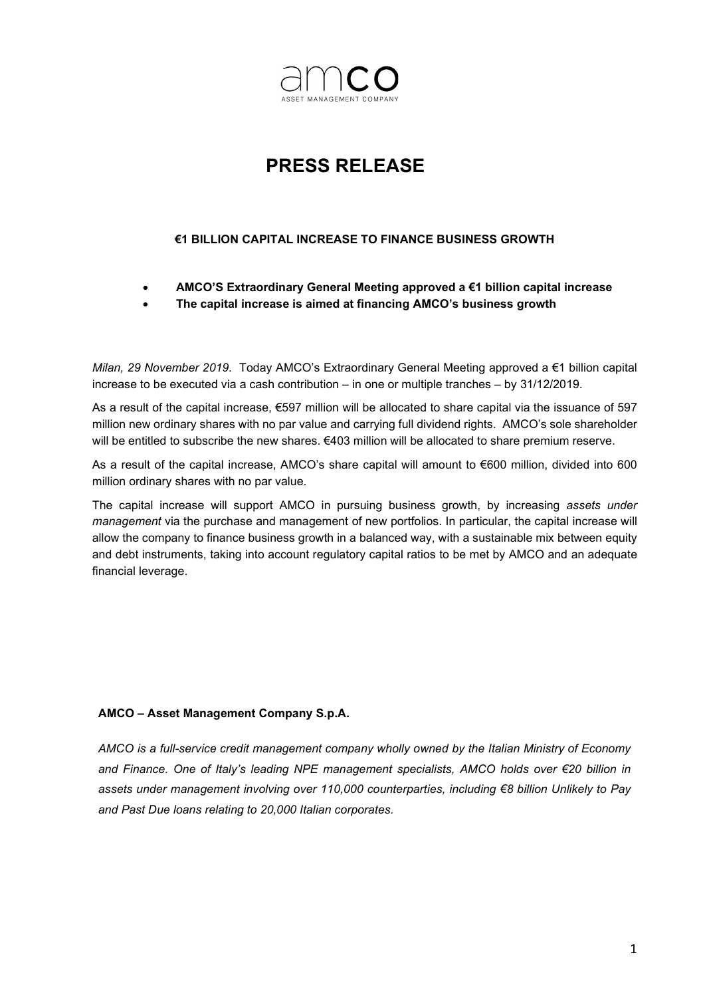

## PRESS RELEASE

## €1 BILLION CAPITAL INCREASE TO FINANCE BUSINESS GROWTH

- AMCO'S Extraordinary General Meeting approved a €1 billion capital increase
- The capital increase is aimed at financing AMCO's business growth

Milan, 29 November 2019. Today AMCO's Extraordinary General Meeting approved a €1 billion capital increase to be executed via a cash contribution – in one or multiple tranches – by 31/12/2019.

As a result of the capital increase, €597 million will be allocated to share capital via the issuance of 597 million new ordinary shares with no par value and carrying full dividend rights. AMCO's sole shareholder will be entitled to subscribe the new shares. €403 million will be allocated to share premium reserve.

As a result of the capital increase, AMCO's share capital will amount to €600 million, divided into 600 million ordinary shares with no par value.

The capital increase will support AMCO in pursuing business growth, by increasing assets under management via the purchase and management of new portfolios. In particular, the capital increase will allow the company to finance business growth in a balanced way, with a sustainable mix between equity and debt instruments, taking into account regulatory capital ratios to be met by AMCO and an adequate financial leverage.

## AMCO – Asset Management Company S.p.A.

AMCO is a full-service credit management company wholly owned by the Italian Ministry of Economy and Finance. One of Italy's leading NPE management specialists, AMCO holds over €20 billion in assets under management involving over 110,000 counterparties, including €8 billion Unlikely to Pay and Past Due loans relating to 20,000 Italian corporates.